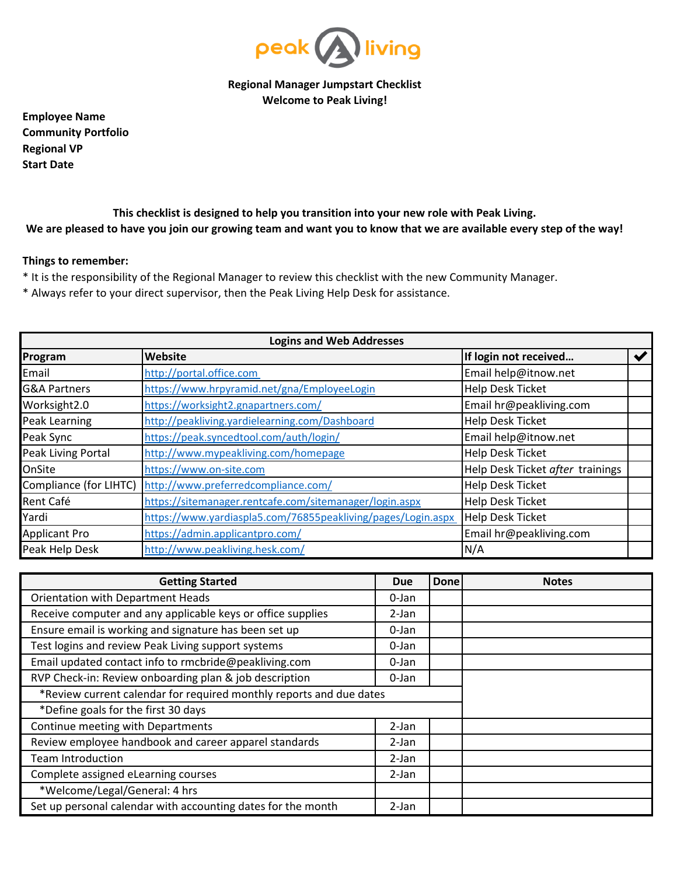

**Regional Manager Jumpstart Checklist Welcome to Peak Living!**

**Employee Name Community Portfolio Regional VP Start Date**

**This checklist is designed to help you transition into your new role with Peak Living. We are pleased to have you join our growing team and want you to know that we are available every step of the way!**

## **Things to remember:**

- \* It is the responsibility of the Regional Manager to review this checklist with the new Community Manager.
- \* Always refer to your direct supervisor, then the Peak Living Help Desk for assistance.

| <b>Logins and Web Addresses</b> |                                                              |                                  |  |  |  |  |
|---------------------------------|--------------------------------------------------------------|----------------------------------|--|--|--|--|
| Program                         | Website                                                      | If login not received            |  |  |  |  |
| Email                           | http://portal.office.com                                     | Email help@itnow.net             |  |  |  |  |
| <b>G&amp;A Partners</b>         | https://www.hrpyramid.net/gna/EmployeeLogin                  | Help Desk Ticket                 |  |  |  |  |
| Worksight2.0                    | https://worksight2.gnapartners.com/                          | Email hr@peakliving.com          |  |  |  |  |
| Peak Learning                   | http://peakliving.yardielearning.com/Dashboard               | Help Desk Ticket                 |  |  |  |  |
| Peak Sync                       | https://peak.syncedtool.com/auth/login/                      | Email help@itnow.net             |  |  |  |  |
| Peak Living Portal              | http://www.mypeakliving.com/homepage                         | <b>Help Desk Ticket</b>          |  |  |  |  |
| OnSite                          | https://www.on-site.com                                      | Help Desk Ticket after trainings |  |  |  |  |
| Compliance (for LIHTC)          | http://www.preferredcompliance.com/                          | Help Desk Ticket                 |  |  |  |  |
| Rent Café                       | https://sitemanager.rentcafe.com/sitemanager/login.aspx      | Help Desk Ticket                 |  |  |  |  |
| Yardi                           | https://www.yardiaspla5.com/76855peakliving/pages/Login.aspx | Help Desk Ticket                 |  |  |  |  |
| <b>Applicant Pro</b>            | https://admin.applicantpro.com/                              | Email hr@peakliving.com          |  |  |  |  |
| Peak Help Desk                  | http://www.peakliving.hesk.com/                              | N/A                              |  |  |  |  |

| <b>Getting Started</b>                                              |  | Done | <b>Notes</b> |
|---------------------------------------------------------------------|--|------|--------------|
| <b>Orientation with Department Heads</b>                            |  |      |              |
| Receive computer and any applicable keys or office supplies         |  |      |              |
| Ensure email is working and signature has been set up               |  |      |              |
| Test logins and review Peak Living support systems                  |  |      |              |
| Email updated contact info to rmcbride@peakliving.com               |  |      |              |
| RVP Check-in: Review onboarding plan & job description              |  |      |              |
| *Review current calendar for required monthly reports and due dates |  |      |              |
| *Define goals for the first 30 days                                 |  |      |              |
| Continue meeting with Departments                                   |  |      |              |
| Review employee handbook and career apparel standards               |  |      |              |
| <b>Team Introduction</b>                                            |  |      |              |
| Complete assigned eLearning courses                                 |  |      |              |
| *Welcome/Legal/General: 4 hrs                                       |  |      |              |
| Set up personal calendar with accounting dates for the month        |  |      |              |